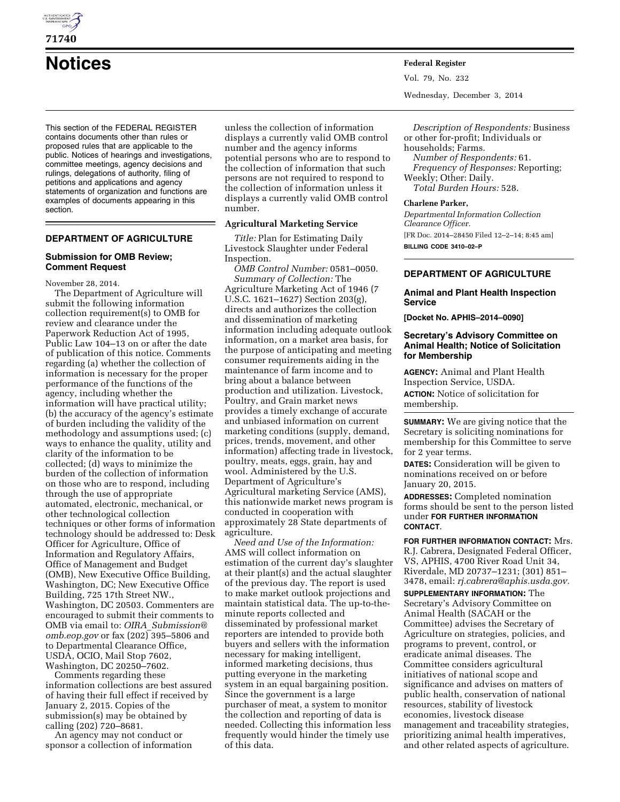

**71740** 

# **Notices Federal Register**

This section of the FEDERAL REGISTER contains documents other than rules or proposed rules that are applicable to the public. Notices of hearings and investigations, committee meetings, agency decisions and rulings, delegations of authority, filing of petitions and applications and agency statements of organization and functions are examples of documents appearing in this section.

# **DEPARTMENT OF AGRICULTURE**

# **Submission for OMB Review; Comment Request**

November 28, 2014.

The Department of Agriculture will submit the following information collection requirement(s) to OMB for review and clearance under the Paperwork Reduction Act of 1995, Public Law 104–13 on or after the date of publication of this notice. Comments regarding (a) whether the collection of information is necessary for the proper performance of the functions of the agency, including whether the information will have practical utility; (b) the accuracy of the agency's estimate of burden including the validity of the methodology and assumptions used; (c) ways to enhance the quality, utility and clarity of the information to be collected; (d) ways to minimize the burden of the collection of information on those who are to respond, including through the use of appropriate automated, electronic, mechanical, or other technological collection techniques or other forms of information technology should be addressed to: Desk Officer for Agriculture, Office of Information and Regulatory Affairs, Office of Management and Budget (OMB), New Executive Office Building, Washington, DC; New Executive Office Building, 725 17th Street NW., Washington, DC 20503. Commenters are encouraged to submit their comments to OMB via email to: *OIRA*\_*[Submission@](mailto:OIRA_Submission@omb.eop.gov) [omb.eop.gov](mailto:OIRA_Submission@omb.eop.gov)* or fax (202) 395–5806 and to Departmental Clearance Office, USDA, OCIO, Mail Stop 7602, Washington, DC 20250–7602.

Comments regarding these information collections are best assured of having their full effect if received by January 2, 2015. Copies of the submission(s) may be obtained by calling (202) 720–8681.

An agency may not conduct or sponsor a collection of information unless the collection of information displays a currently valid OMB control number and the agency informs potential persons who are to respond to the collection of information that such persons are not required to respond to the collection of information unless it displays a currently valid OMB control number.

## **Agricultural Marketing Service**

*Title:* Plan for Estimating Daily Livestock Slaughter under Federal Inspection.

*OMB Control Number:* 0581–0050. *Summary of Collection:* The Agriculture Marketing Act of 1946 (7 U.S.C. 1621–1627) Section 203(g), directs and authorizes the collection and dissemination of marketing information including adequate outlook information, on a market area basis, for the purpose of anticipating and meeting consumer requirements aiding in the maintenance of farm income and to bring about a balance between production and utilization. Livestock, Poultry, and Grain market news provides a timely exchange of accurate and unbiased information on current marketing conditions (supply, demand, prices, trends, movement, and other information) affecting trade in livestock, poultry, meats, eggs, grain, hay and wool. Administered by the U.S. Department of Agriculture's Agricultural marketing Service (AMS), this nationwide market news program is conducted in cooperation with approximately 28 State departments of agriculture.

*Need and Use of the Information:*  AMS will collect information on estimation of the current day's slaughter at their plant(s) and the actual slaughter of the previous day. The report is used to make market outlook projections and maintain statistical data. The up-to-theminute reports collected and disseminated by professional market reporters are intended to provide both buyers and sellers with the information necessary for making intelligent, informed marketing decisions, thus putting everyone in the marketing system in an equal bargaining position. Since the government is a large purchaser of meat, a system to monitor the collection and reporting of data is needed. Collecting this information less frequently would hinder the timely use of this data.

Vol. 79, No. 232

Wednesday, December 3, 2014

*Description of Respondents:* Business or other for-profit; Individuals or households; Farms.

*Number of Respondents:* 61. *Frequency of Responses:* Reporting; Weekly; Other: Daily. *Total Burden Hours:* 528.

#### **Charlene Parker,**

*Departmental Information Collection Clearance Officer.*  [FR Doc. 2014–28450 Filed 12–2–14; 8:45 am] **BILLING CODE 3410–02–P** 

# **DEPARTMENT OF AGRICULTURE**

### **Animal and Plant Health Inspection Service**

**[Docket No. APHIS–2014–0090]** 

## **Secretary's Advisory Committee on Animal Health; Notice of Solicitation for Membership**

**AGENCY:** Animal and Plant Health Inspection Service, USDA.

**ACTION:** Notice of solicitation for membership.

**SUMMARY:** We are giving notice that the Secretary is soliciting nominations for membership for this Committee to serve for 2 year terms.

**DATES:** Consideration will be given to nominations received on or before January 20, 2015.

**ADDRESSES:** Completed nomination forms should be sent to the person listed under **FOR FURTHER INFORMATION CONTACT**.

**FOR FURTHER INFORMATION CONTACT:** Mrs. R.J. Cabrera, Designated Federal Officer, VS, APHIS, 4700 River Road Unit 34, Riverdale, MD 20737–1231; (301) 851– 3478, email: *[rj.cabrera@aphis.usda.gov.](mailto:rj.cabrera@aphis.usda.gov)* 

**SUPPLEMENTARY INFORMATION:** The Secretary's Advisory Committee on Animal Health (SACAH or the Committee) advises the Secretary of Agriculture on strategies, policies, and programs to prevent, control, or eradicate animal diseases. The Committee considers agricultural initiatives of national scope and significance and advises on matters of public health, conservation of national resources, stability of livestock economies, livestock disease management and traceability strategies, prioritizing animal health imperatives, and other related aspects of agriculture.